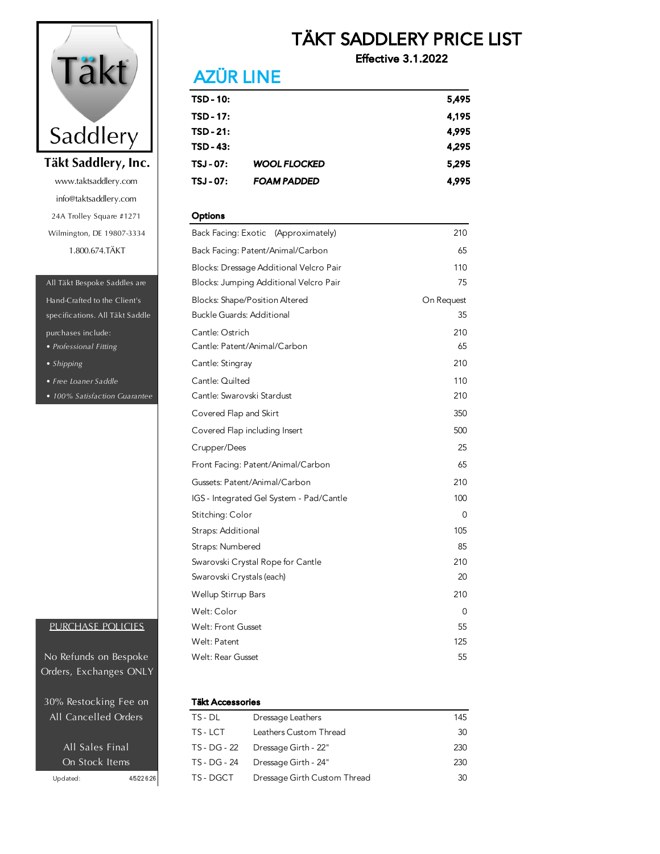

info@taktsaddlery.com 24A Trolley Square #1271 Wilmington, DE 19807-3334 1.800.674.TÄKT www.taktsaddlery.com

#### All Täkt Bespoke Saddles are

specifications. All Täkt Saddle *• Professional Fitting* Hand-Crafted to the Client's purchases include:

- *Shipping*
- *Free Loaner Saddle*
- *100% Satisfaction Guarantee*

#### PURCHASE POLICIES

Orders, Exchanges ONLY No Refunds on Bespoke

30% Restocking Fee on All Cancelled Orders

## TÄKT SADDLERY PRICE LIST

Effective 3.1.2022

## **AZÜR LINE**

| TSD - 10: |                     | 5,495 |
|-----------|---------------------|-------|
| TSD - 17: |                     | 4,195 |
| TSD - 21: |                     | 4,995 |
| TSD - 43: |                     | 4,295 |
| TSJ - 07: | <b>WOOL FLOCKED</b> | 5,295 |
| TSJ - 07: | <b>FOAM PADDED</b>  | 4,995 |

#### **Options**

| Back Facing: Exotic (Approximately)      | 210        |
|------------------------------------------|------------|
| Back Facing: Patent/Animal/Carbon        | 65         |
| Blocks: Dressage Additional Velcro Pair  | 110        |
| Blocks: Jumping Additional Velcro Pair   | 75         |
| <b>Blocks: Shape/Position Altered</b>    | On Request |
| <b>Buckle Guards: Additional</b>         | 35         |
| Cantle: Ostrich                          | 210        |
| Cantle: Patent/Animal/Carbon             | 65         |
| Cantle: Stingray                         | 210        |
| Cantle: Quilted                          | 110        |
| Cantle: Swarovski Stardust               | 210        |
| Covered Flap and Skirt                   | 350        |
| Covered Flap including Insert            | 500        |
| Crupper/Dees                             | 25         |
| Front Facing: Patent/Animal/Carbon       | 65         |
| Gussets: Patent/Animal/Carbon            | 210        |
| IGS - Integrated Gel System - Pad/Cantle | 100        |
| Stitching: Color                         | 0          |
| Straps: Additional                       | 105        |
| Straps: Numbered                         | 85         |
| Swarovski Crystal Rope for Cantle        | 210        |
| Swarovski Crystals (each)                | 20         |
| Wellup Stirrup Bars                      | 210        |
| Welt: Color                              | 0          |
| <b>Welt: Front Gusset</b>                | 55         |
| Welt: Patent                             | 125        |
| Welt: Rear Gusset                        | 55         |

#### **Täkt Accessories**

| <b>All Cancelled Orders</b> |             | TS - DL      | Dressage Leathers            | 145 |
|-----------------------------|-------------|--------------|------------------------------|-----|
|                             |             | TS-LCT       | Leathers Custom Thread       | 30  |
| All Sales Final             |             | TS - DG - 22 | Dressage Girth - 22"         | 230 |
| On Stock Items              |             | TS - DG - 24 | Dressage Girth - 24"         | 230 |
| Updated:                    | 4/5/22 6:26 | TS - DGCT    | Dressage Girth Custom Thread | 30  |